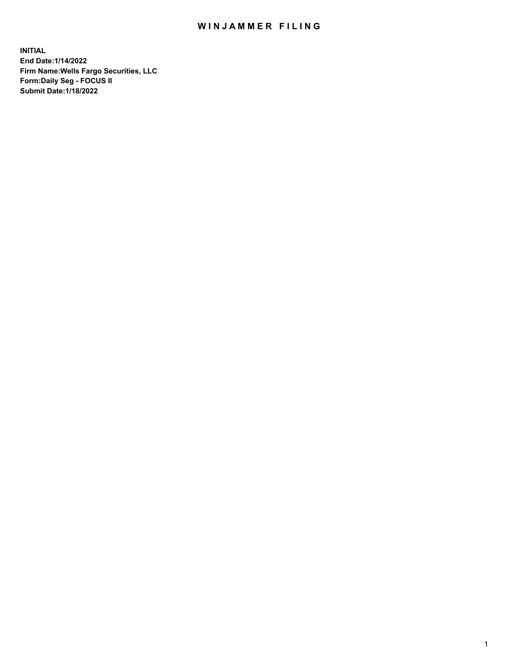## WIN JAMMER FILING

**INITIAL End Date:1/14/2022 Firm Name:Wells Fargo Securities, LLC Form:Daily Seg - FOCUS II Submit Date:1/18/2022**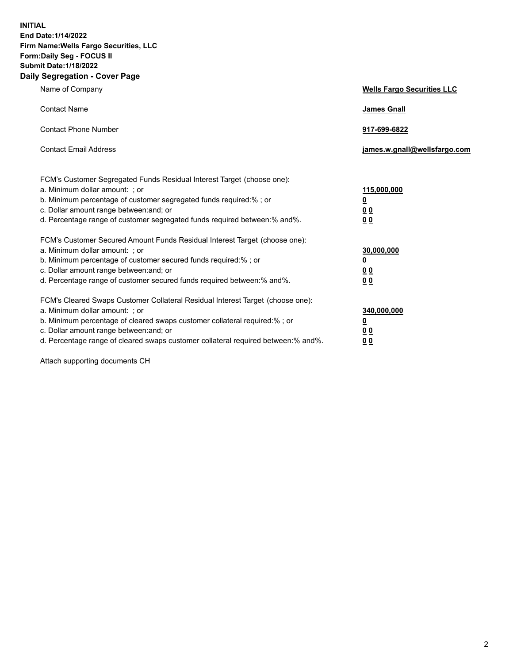**INITIAL End Date:1/14/2022 Firm Name:Wells Fargo Securities, LLC Form:Daily Seg - FOCUS II Submit Date:1/18/2022 Daily Segregation - Cover Page**

| Name of Company                                                                                                                                                                                                                                                                                                                | <b>Wells Fargo Securities LLC</b>                          |
|--------------------------------------------------------------------------------------------------------------------------------------------------------------------------------------------------------------------------------------------------------------------------------------------------------------------------------|------------------------------------------------------------|
| <b>Contact Name</b>                                                                                                                                                                                                                                                                                                            | <b>James Gnall</b>                                         |
| <b>Contact Phone Number</b>                                                                                                                                                                                                                                                                                                    | 917-699-6822                                               |
| <b>Contact Email Address</b>                                                                                                                                                                                                                                                                                                   | james.w.gnall@wellsfargo.com                               |
| FCM's Customer Segregated Funds Residual Interest Target (choose one):<br>a. Minimum dollar amount: ; or<br>b. Minimum percentage of customer segregated funds required:% ; or<br>c. Dollar amount range between: and; or<br>d. Percentage range of customer segregated funds required between:% and%.                         | 115,000,000<br><u>0</u><br>0 <sub>0</sub><br>00            |
| FCM's Customer Secured Amount Funds Residual Interest Target (choose one):<br>a. Minimum dollar amount: ; or<br>b. Minimum percentage of customer secured funds required:%; or<br>c. Dollar amount range between: and; or<br>d. Percentage range of customer secured funds required between:% and%.                            | 30,000,000<br><u>0</u><br>0 <sub>0</sub><br>0 <sub>0</sub> |
| FCM's Cleared Swaps Customer Collateral Residual Interest Target (choose one):<br>a. Minimum dollar amount: ; or<br>b. Minimum percentage of cleared swaps customer collateral required:% ; or<br>c. Dollar amount range between: and; or<br>d. Percentage range of cleared swaps customer collateral required between:% and%. | 340,000,000<br><u>0</u><br>00<br>00                        |

Attach supporting documents CH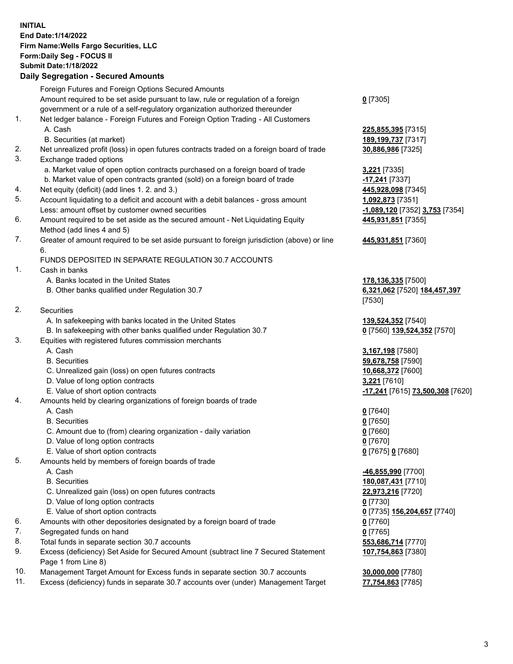**INITIAL End Date:1/14/2022 Firm Name:Wells Fargo Securities, LLC Form:Daily Seg - FOCUS II Submit Date:1/18/2022**

## **Daily Segregation - Secured Amounts**

|    | Foreign Futures and Foreign Options Secured Amounts                                         |                                  |
|----|---------------------------------------------------------------------------------------------|----------------------------------|
|    | Amount required to be set aside pursuant to law, rule or regulation of a foreign            | $0$ [7305]                       |
|    | government or a rule of a self-regulatory organization authorized thereunder                |                                  |
| 1. | Net ledger balance - Foreign Futures and Foreign Option Trading - All Customers             |                                  |
|    | A. Cash                                                                                     | 225,855,395 [7315]               |
|    | B. Securities (at market)                                                                   | 189,199,737 [7317]               |
| 2. | Net unrealized profit (loss) in open futures contracts traded on a foreign board of trade   | 30,886,986 [7325]                |
| 3. | Exchange traded options                                                                     |                                  |
|    | a. Market value of open option contracts purchased on a foreign board of trade              | 3,221 [7335]                     |
|    | b. Market value of open contracts granted (sold) on a foreign board of trade                | -17,241 [7337]                   |
| 4. | Net equity (deficit) (add lines 1. 2. and 3.)                                               | 445,928,098 [7345]               |
| 5. | Account liquidating to a deficit and account with a debit balances - gross amount           | 1,092,873 [7351]                 |
|    | Less: amount offset by customer owned securities                                            | -1,089,120 [7352] 3,753 [7354]   |
| 6. | Amount required to be set aside as the secured amount - Net Liquidating Equity              | 445,931,851 [7355]               |
|    | Method (add lines 4 and 5)                                                                  |                                  |
| 7. | Greater of amount required to be set aside pursuant to foreign jurisdiction (above) or line | 445,931,851 [7360]               |
|    | 6.                                                                                          |                                  |
|    | FUNDS DEPOSITED IN SEPARATE REGULATION 30.7 ACCOUNTS                                        |                                  |
| 1. | Cash in banks                                                                               |                                  |
|    | A. Banks located in the United States                                                       | 178, 136, 335 [7500]             |
|    | B. Other banks qualified under Regulation 30.7                                              | 6,321,062 [7520] 184,457,397     |
|    |                                                                                             | [7530]                           |
| 2. | Securities                                                                                  |                                  |
|    | A. In safekeeping with banks located in the United States                                   | 139,524,352 [7540]               |
|    | B. In safekeeping with other banks qualified under Regulation 30.7                          | 0 [7560] 139,524,352 [7570]      |
| 3. | Equities with registered futures commission merchants                                       |                                  |
|    | A. Cash                                                                                     | 3,167,198 <sub>[7580]</sub>      |
|    | <b>B.</b> Securities                                                                        | 59,678,758 [7590]                |
|    | C. Unrealized gain (loss) on open futures contracts                                         | 10,668,372 [7600]                |
|    | D. Value of long option contracts                                                           | 3,221 [7610]                     |
|    | E. Value of short option contracts                                                          | -17,241 [7615] 73,500,308 [7620] |
| 4. | Amounts held by clearing organizations of foreign boards of trade                           |                                  |
|    | A. Cash                                                                                     | $0$ [7640]                       |
|    | <b>B.</b> Securities                                                                        | $0$ [7650]                       |
|    | C. Amount due to (from) clearing organization - daily variation                             | $0$ [7660]                       |
|    | D. Value of long option contracts                                                           | $0$ [7670]                       |
| 5. | E. Value of short option contracts                                                          | 0 [7675] 0 [7680]                |
|    | Amounts held by members of foreign boards of trade<br>A. Cash                               | -46,855,990 [7700]               |
|    | <b>B.</b> Securities                                                                        | 180,087,431 [7710]               |
|    | C. Unrealized gain (loss) on open futures contracts                                         | 22,973,216 [7720]                |
|    | D. Value of long option contracts                                                           | $0$ [7730]                       |
|    | E. Value of short option contracts                                                          | 0 [7735] 156,204,657 [7740]      |
| 6. | Amounts with other depositories designated by a foreign board of trade                      | 0 [7760]                         |
| 7. | Segregated funds on hand                                                                    | $0$ [7765]                       |
| 8. | Total funds in separate section 30.7 accounts                                               | 553,686,714 [7770]               |
| 9. | Excess (deficiency) Set Aside for Secured Amount (subtract line 7 Secured Statement         | 107,754,863 [7380]               |
|    | Page 1 from Line 8)                                                                         |                                  |
|    |                                                                                             |                                  |

- 10. Management Target Amount for Excess funds in separate section 30.7 accounts **30,000,000** [7780]
- 11. Excess (deficiency) funds in separate 30.7 accounts over (under) Management Target **77,754,863** [7785]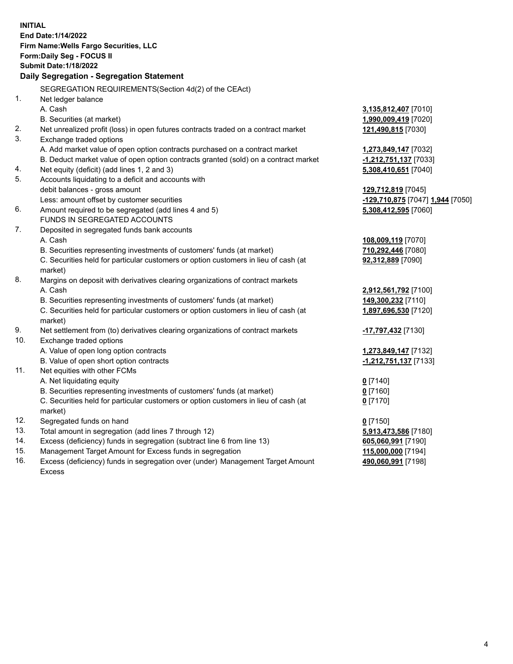**INITIAL End Date:1/14/2022 Firm Name:Wells Fargo Securities, LLC Form:Daily Seg - FOCUS II Submit Date:1/18/2022 Daily Segregation - Segregation Statement** SEGREGATION REQUIREMENTS(Section 4d(2) of the CEAct) 1. Net ledger balance A. Cash **3,135,812,407** [7010] B. Securities (at market) **1,990,009,419** [7020] 2. Net unrealized profit (loss) in open futures contracts traded on a contract market **121,490,815** [7030] 3. Exchange traded options A. Add market value of open option contracts purchased on a contract market **1,273,849,147** [7032] B. Deduct market value of open option contracts granted (sold) on a contract market **-1,212,751,137** [7033] 4. Net equity (deficit) (add lines 1, 2 and 3) **5,308,410,651** [7040] 5. Accounts liquidating to a deficit and accounts with debit balances - gross amount **129,712,819** [7045] Less: amount offset by customer securities **-129,710,875** [7047] **1,944** [7050] 6. Amount required to be segregated (add lines 4 and 5) **5,308,412,595** [7060] FUNDS IN SEGREGATED ACCOUNTS 7. Deposited in segregated funds bank accounts A. Cash **108,009,119** [7070] B. Securities representing investments of customers' funds (at market) **710,292,446** [7080] C. Securities held for particular customers or option customers in lieu of cash (at market) **92,312,889** [7090] 8. Margins on deposit with derivatives clearing organizations of contract markets A. Cash **2,912,561,792** [7100] B. Securities representing investments of customers' funds (at market) **149,300,232** [7110] C. Securities held for particular customers or option customers in lieu of cash (at market) **1,897,696,530** [7120] 9. Net settlement from (to) derivatives clearing organizations of contract markets **-17,797,432** [7130] 10. Exchange traded options A. Value of open long option contracts **1,273,849,147** [7132] B. Value of open short option contracts **-1,212,751,137** [7133] 11. Net equities with other FCMs A. Net liquidating equity **0** [7140] B. Securities representing investments of customers' funds (at market) **0** [7160] C. Securities held for particular customers or option customers in lieu of cash (at market) **0** [7170] 12. Segregated funds on hand **0** [7150] 13. Total amount in segregation (add lines 7 through 12) **5,913,473,586** [7180] 14. Excess (deficiency) funds in segregation (subtract line 6 from line 13) **605,060,991** [7190] 15. Management Target Amount for Excess funds in segregation **115,000,000** [7194] 16. Excess (deficiency) funds in segregation over (under) Management Target Amount **490,060,991** [7198]

Excess